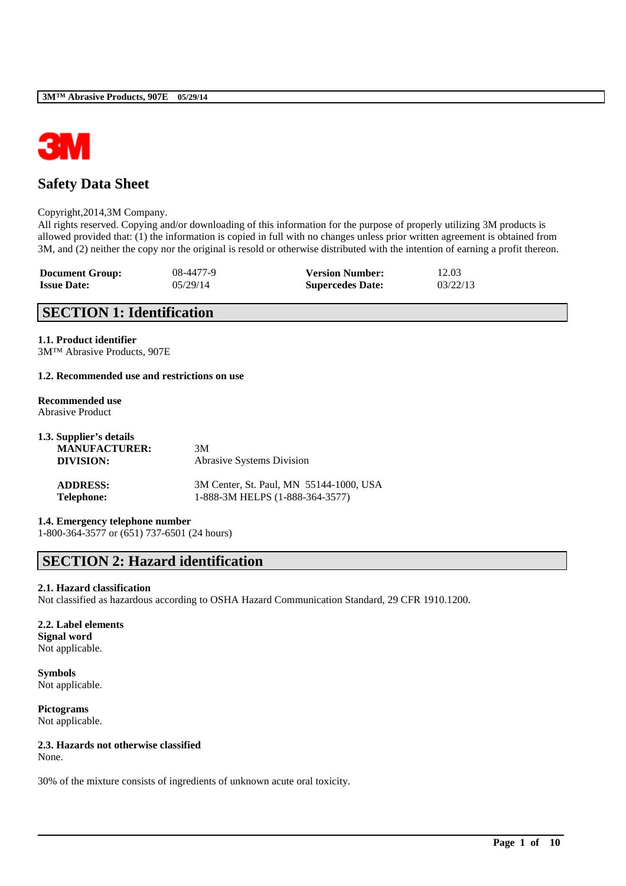

# **Safety Data Sheet**

### Copyright,2014,3M Company.

All rights reserved. Copying and/or downloading of this information for the purpose of properly utilizing 3M products is allowed provided that: (1) the information is copied in full with no changes unless prior written agreement is obtained from 3M, and (2) neither the copy nor the original is resold or otherwise distributed with the intention of earning a profit thereon.

| <b>Document Group:</b> | 08-4477-9 | <b>Version Number:</b>  | 12.03    |
|------------------------|-----------|-------------------------|----------|
| <b>Issue Date:</b>     | 05/29/14  | <b>Supercedes Date:</b> | 03/22/13 |

# **SECTION 1: Identification**

### **1.1. Product identifier**

3M™ Abrasive Products, 907E

### **1.2. Recommended use and restrictions on use**

#### **Recommended use** Abrasive Product

| 1.3. Supplier's details |                                         |
|-------------------------|-----------------------------------------|
| <b>MANUFACTURER:</b>    | 3M                                      |
| DIVISION:               | <b>Abrasive Systems Division</b>        |
| <b>ADDRESS:</b>         | 3M Center, St. Paul, MN 55144-1000, USA |
| <b>Telephone:</b>       | 1-888-3M HELPS (1-888-364-3577)         |

**1.4. Emergency telephone number**

1-800-364-3577 or (651) 737-6501 (24 hours)

# **SECTION 2: Hazard identification**

## **2.1. Hazard classification**

Not classified as hazardous according to OSHA Hazard Communication Standard, 29 CFR 1910.1200.

\_\_\_\_\_\_\_\_\_\_\_\_\_\_\_\_\_\_\_\_\_\_\_\_\_\_\_\_\_\_\_\_\_\_\_\_\_\_\_\_\_\_\_\_\_\_\_\_\_\_\_\_\_\_\_\_\_\_\_\_\_\_\_\_\_\_\_\_\_\_\_\_\_\_\_\_\_\_\_\_\_\_\_\_\_\_\_\_\_\_

### **2.2. Label elements Signal word** Not applicable.

**Symbols** Not applicable.

**Pictograms** Not applicable.

## **2.3. Hazards not otherwise classified**

None.

30% of the mixture consists of ingredients of unknown acute oral toxicity.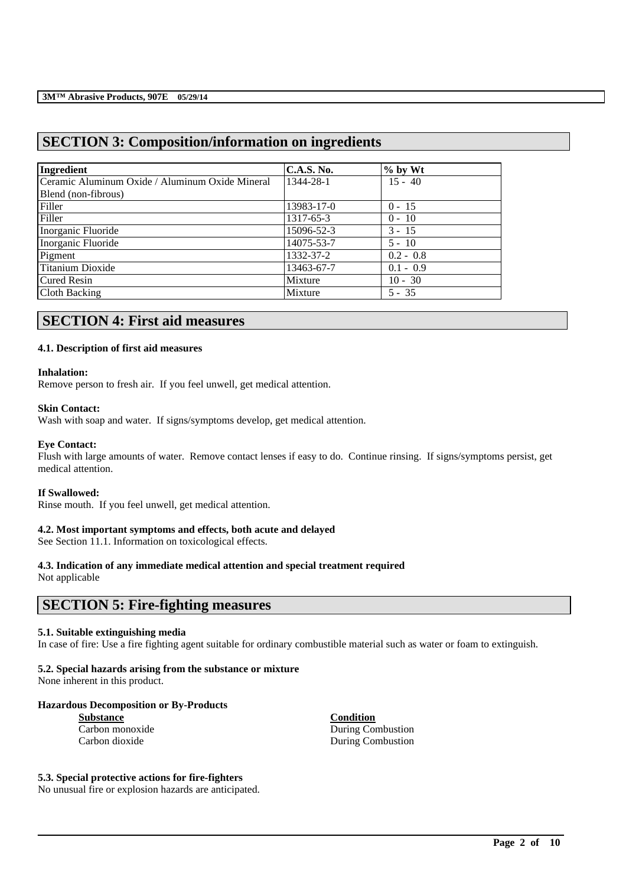# **SECTION 3: Composition/information on ingredients**

| Ingredient                                      | <b>C.A.S. No.</b> | $%$ by Wt   |
|-------------------------------------------------|-------------------|-------------|
| Ceramic Aluminum Oxide / Aluminum Oxide Mineral | 1344-28-1         | $15 - 40$   |
| Blend (non-fibrous)                             |                   |             |
| Filler                                          | 13983-17-0        | $0 - 15$    |
| Filler                                          | 1317-65-3         | $0 - 10$    |
| Inorganic Fluoride                              | 15096-52-3        | $3 - 15$    |
| Inorganic Fluoride                              | 14075-53-7        | $5 - 10$    |
| Pigment                                         | 1332-37-2         | $0.2 - 0.8$ |
| Titanium Dioxide                                | 13463-67-7        | $0.1 - 0.9$ |
| Cured Resin                                     | Mixture           | $10 - 30$   |
| Cloth Backing                                   | Mixture           | $5 - 35$    |

# **SECTION 4: First aid measures**

### **4.1. Description of first aid measures**

### **Inhalation:**

Remove person to fresh air. If you feel unwell, get medical attention.

### **Skin Contact:**

Wash with soap and water. If signs/symptoms develop, get medical attention.

### **Eye Contact:**

Flush with large amounts of water. Remove contact lenses if easy to do. Continue rinsing. If signs/symptoms persist, get medical attention.

### **If Swallowed:**

Rinse mouth. If you feel unwell, get medical attention.

## **4.2. Most important symptoms and effects, both acute and delayed**

See Section 11.1. Information on toxicological effects.

# **4.3. Indication of any immediate medical attention and special treatment required**

Not applicable

# **SECTION 5: Fire-fighting measures**

### **5.1. Suitable extinguishing media**

In case of fire: Use a fire fighting agent suitable for ordinary combustible material such as water or foam to extinguish.

\_\_\_\_\_\_\_\_\_\_\_\_\_\_\_\_\_\_\_\_\_\_\_\_\_\_\_\_\_\_\_\_\_\_\_\_\_\_\_\_\_\_\_\_\_\_\_\_\_\_\_\_\_\_\_\_\_\_\_\_\_\_\_\_\_\_\_\_\_\_\_\_\_\_\_\_\_\_\_\_\_\_\_\_\_\_\_\_\_\_

# **5.2. Special hazards arising from the substance or mixture**

None inherent in this product.

## **Hazardous Decomposition or By-Products**

| <b>Substance</b> |  |  |  |
|------------------|--|--|--|
| Carbon monoxide  |  |  |  |
| Carbon dioxide   |  |  |  |

**Substance Condition** During Combustion During Combustion

### **5.3. Special protective actions for fire-fighters**

No unusual fire or explosion hazards are anticipated.

**Page 2 of 10**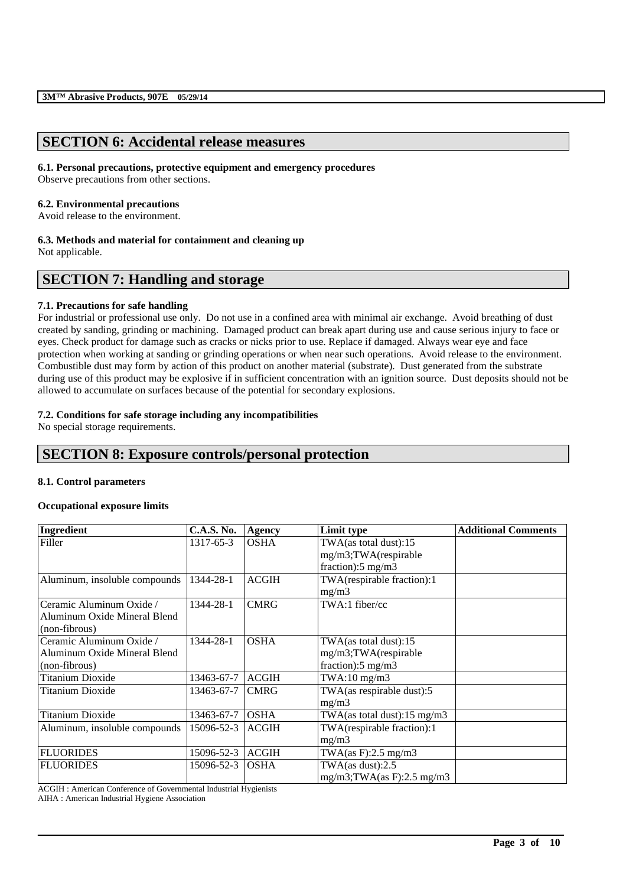# **SECTION 6: Accidental release measures**

### **6.1. Personal precautions, protective equipment and emergency procedures**

Observe precautions from other sections.

## **6.2. Environmental precautions**

Avoid release to the environment.

### **6.3. Methods and material for containment and cleaning up**

Not applicable.

# **SECTION 7: Handling and storage**

### **7.1. Precautions for safe handling**

For industrial or professional use only. Do not use in a confined area with minimal air exchange. Avoid breathing of dust created by sanding, grinding or machining. Damaged product can break apart during use and cause serious injury to face or eyes. Check product for damage such as cracks or nicks prior to use. Replace if damaged. Always wear eye and face protection when working at sanding or grinding operations or when near such operations. Avoid release to the environment. Combustible dust may form by action of this product on another material (substrate). Dust generated from the substrate during use of this product may be explosive if in sufficient concentration with an ignition source. Dust deposits should not be allowed to accumulate on surfaces because of the potential for secondary explosions.

## **7.2. Conditions for safe storage including any incompatibilities**

No special storage requirements.

# **SECTION 8: Exposure controls/personal protection**

## **8.1. Control parameters**

## **Occupational exposure limits**

| Ingredient                    | <b>C.A.S. No.</b> | <b>Agency</b> | Limit type                     | <b>Additional Comments</b> |
|-------------------------------|-------------------|---------------|--------------------------------|----------------------------|
| Filler                        | 1317-65-3         | <b>OSHA</b>   | TWA(as total dust):15          |                            |
|                               |                   |               | mg/m3;TWA(respirable           |                            |
|                               |                   |               | fraction): $5 \text{ mg/m}$ 3  |                            |
| Aluminum, insoluble compounds | 1344-28-1         | <b>ACGIH</b>  | TWA(respirable fraction):1     |                            |
|                               |                   |               | mg/m3                          |                            |
| Ceramic Aluminum Oxide /      | 1344-28-1         | <b>CMRG</b>   | TWA:1 fiber/cc                 |                            |
| Aluminum Oxide Mineral Blend  |                   |               |                                |                            |
| (non-fibrous)                 |                   |               |                                |                            |
| Ceramic Aluminum Oxide /      | 1344-28-1         | <b>OSHA</b>   | TWA(as total dust):15          |                            |
| Aluminum Oxide Mineral Blend  |                   |               | mg/m3;TWA(respirable           |                            |
| (non-fibrous)                 |                   |               | fraction): $5 \text{ mg/m}$ 3  |                            |
| <b>Titanium Dioxide</b>       | 13463-67-7        | <b>ACGIH</b>  | $TWA:10$ mg/m $3$              |                            |
| Titanium Dioxide              | 13463-67-7        | <b>CMRG</b>   | TWA(as respirable dust):5      |                            |
|                               |                   |               | mg/m3                          |                            |
| <b>Titanium Dioxide</b>       | 13463-67-7        | <b>OSHA</b>   | TWA(as total dust):15 mg/m3    |                            |
| Aluminum, insoluble compounds | 15096-52-3        | <b>ACGIH</b>  | TWA(respirable fraction):1     |                            |
|                               |                   |               | mg/m3                          |                            |
| <b>FLUORIDES</b>              | 15096-52-3        | <b>ACGIH</b>  | TWA $(as F): 2.5 mg/m3$        |                            |
| <b>FLUORIDES</b>              | 15096-52-3        | <b>OSHA</b>   | TWA $(as dust):2.5$            |                            |
|                               |                   |               | $mg/m3$ ; TWA(as F): 2.5 mg/m3 |                            |

\_\_\_\_\_\_\_\_\_\_\_\_\_\_\_\_\_\_\_\_\_\_\_\_\_\_\_\_\_\_\_\_\_\_\_\_\_\_\_\_\_\_\_\_\_\_\_\_\_\_\_\_\_\_\_\_\_\_\_\_\_\_\_\_\_\_\_\_\_\_\_\_\_\_\_\_\_\_\_\_\_\_\_\_\_\_\_\_\_\_

ACGIH : American Conference of Governmental Industrial Hygienists

AIHA : American Industrial Hygiene Association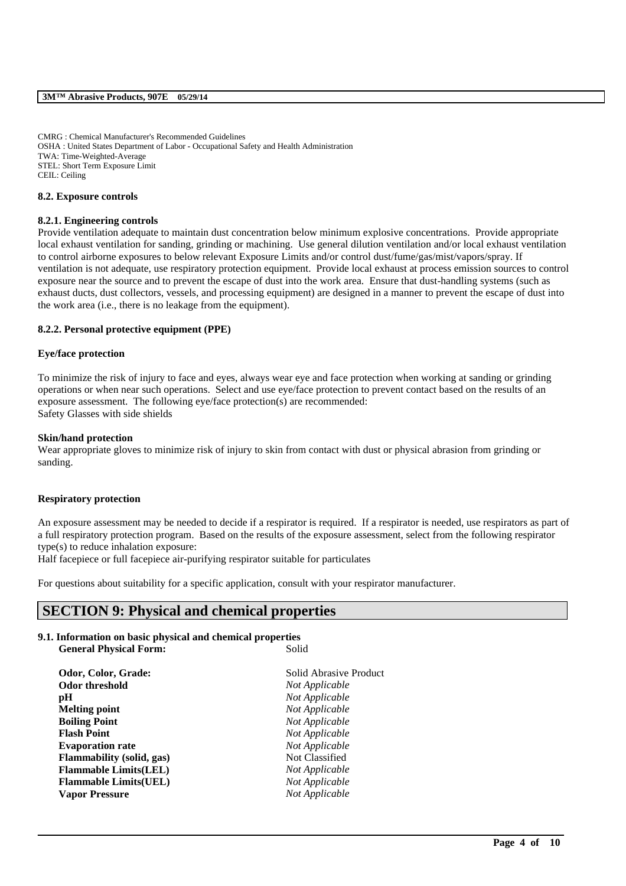CMRG : Chemical Manufacturer's Recommended Guidelines OSHA : United States Department of Labor - Occupational Safety and Health Administration TWA: Time-Weighted-Average STEL: Short Term Exposure Limit CEIL: Ceiling

### **8.2. Exposure controls**

### **8.2.1. Engineering controls**

Provide ventilation adequate to maintain dust concentration below minimum explosive concentrations. Provide appropriate local exhaust ventilation for sanding, grinding or machining. Use general dilution ventilation and/or local exhaust ventilation to control airborne exposures to below relevant Exposure Limits and/or control dust/fume/gas/mist/vapors/spray. If ventilation is not adequate, use respiratory protection equipment. Provide local exhaust at process emission sources to control exposure near the source and to prevent the escape of dust into the work area. Ensure that dust-handling systems (such as exhaust ducts, dust collectors, vessels, and processing equipment) are designed in a manner to prevent the escape of dust into the work area (i.e., there is no leakage from the equipment).

### **8.2.2. Personal protective equipment (PPE)**

### **Eye/face protection**

To minimize the risk of injury to face and eyes, always wear eye and face protection when working at sanding or grinding operations or when near such operations. Select and use eye/face protection to prevent contact based on the results of an exposure assessment. The following eye/face protection(s) are recommended: Safety Glasses with side shields

### **Skin/hand protection**

Wear appropriate gloves to minimize risk of injury to skin from contact with dust or physical abrasion from grinding or sanding.

### **Respiratory protection**

An exposure assessment may be needed to decide if a respirator is required. If a respirator is needed, use respirators as part of a full respiratory protection program. Based on the results of the exposure assessment, select from the following respirator type(s) to reduce inhalation exposure:

\_\_\_\_\_\_\_\_\_\_\_\_\_\_\_\_\_\_\_\_\_\_\_\_\_\_\_\_\_\_\_\_\_\_\_\_\_\_\_\_\_\_\_\_\_\_\_\_\_\_\_\_\_\_\_\_\_\_\_\_\_\_\_\_\_\_\_\_\_\_\_\_\_\_\_\_\_\_\_\_\_\_\_\_\_\_\_\_\_\_

Half facepiece or full facepiece air-purifying respirator suitable for particulates

For questions about suitability for a specific application, consult with your respirator manufacturer.

# **SECTION 9: Physical and chemical properties**

## **9.1. Information on basic physical and chemical properties**

| Solid                  |
|------------------------|
| Solid Abrasive Product |
| Not Applicable         |
| Not Applicable         |
| Not Applicable         |
| Not Applicable         |
| Not Applicable         |
| Not Applicable         |
| Not Classified         |
| Not Applicable         |
| Not Applicable         |
| Not Applicable         |
|                        |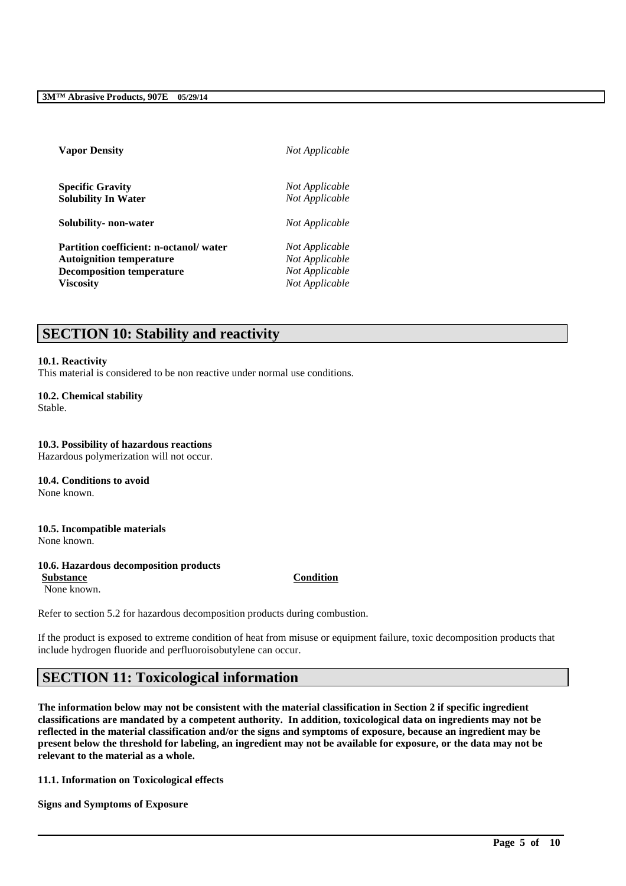| <b>Vapor Density</b>                   | Not Applicable |
|----------------------------------------|----------------|
| <b>Specific Gravity</b>                | Not Applicable |
| <b>Solubility In Water</b>             | Not Applicable |
| Solubility- non-water                  | Not Applicable |
| Partition coefficient: n-octanol/water | Not Applicable |
| <b>Autoignition temperature</b>        | Not Applicable |
| <b>Decomposition temperature</b>       | Not Applicable |
| <b>Viscosity</b>                       | Not Applicable |
|                                        |                |

# **SECTION 10: Stability and reactivity**

### **10.1. Reactivity**

This material is considered to be non reactive under normal use conditions.

**10.2. Chemical stability** Stable.

**10.3. Possibility of hazardous reactions** Hazardous polymerization will not occur.

**10.4. Conditions to avoid** None known.

**10.5. Incompatible materials** None known.

## **10.6. Hazardous decomposition products**

None known.

**Substance Condition**

Refer to section 5.2 for hazardous decomposition products during combustion.

If the product is exposed to extreme condition of heat from misuse or equipment failure, toxic decomposition products that include hydrogen fluoride and perfluoroisobutylene can occur.

# **SECTION 11: Toxicological information**

**The information below may not be consistent with the material classification in Section 2 if specific ingredient classifications are mandated by a competent authority. In addition, toxicological data on ingredients may not be reflected in the material classification and/or the signs and symptoms of exposure, because an ingredient may be present below the threshold for labeling, an ingredient may not be available for exposure, or the data may not be relevant to the material as a whole.**

\_\_\_\_\_\_\_\_\_\_\_\_\_\_\_\_\_\_\_\_\_\_\_\_\_\_\_\_\_\_\_\_\_\_\_\_\_\_\_\_\_\_\_\_\_\_\_\_\_\_\_\_\_\_\_\_\_\_\_\_\_\_\_\_\_\_\_\_\_\_\_\_\_\_\_\_\_\_\_\_\_\_\_\_\_\_\_\_\_\_

**11.1. Information on Toxicological effects**

**Signs and Symptoms of Exposure**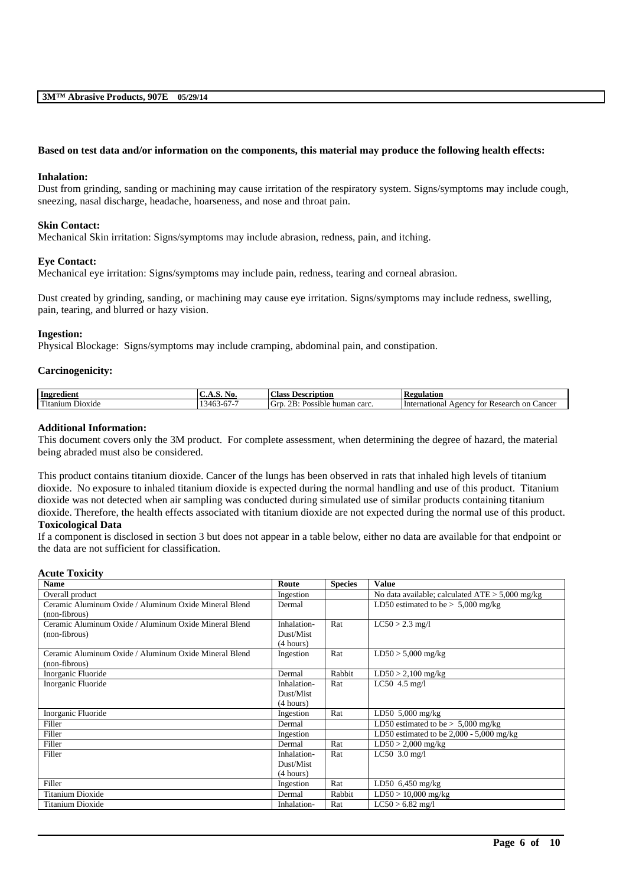### **Based on test data and/or information on the components, this material may produce the following health effects:**

### **Inhalation:**

Dust from grinding, sanding or machining may cause irritation of the respiratory system. Signs/symptoms may include cough, sneezing, nasal discharge, headache, hoarseness, and nose and throat pain.

### **Skin Contact:**

Mechanical Skin irritation: Signs/symptoms may include abrasion, redness, pain, and itching.

#### **Eye Contact:**

Mechanical eye irritation: Signs/symptoms may include pain, redness, tearing and corneal abrasion.

Dust created by grinding, sanding, or machining may cause eye irritation. Signs/symptoms may include redness, swelling, pain, tearing, and blurred or hazy vision.

### **Ingestion:**

Physical Blockage: Signs/symptoms may include cramping, abdominal pain, and constipation.

#### **Carcinogenicity:**

| Ingredient                           | NO.<br>$\cdots$ $\cdots$ | $\sim$<br>. :las<br>'Jescription                           | D.<br>Regulation                                                 |
|--------------------------------------|--------------------------|------------------------------------------------------------|------------------------------------------------------------------|
| $\mathbf{r}$<br>Dioxide<br>l'itanıum | ۔ ۔ ۔<br>140.<br>.<br>◡  | . .<br>^ T<br>Grt<br>carc<br>. .<br>Possible<br>human<br>r | International<br>Cancer<br>tor<br>Research<br>$A$ genc $V$<br>on |

#### **Additional Information:**

This document covers only the 3M product. For complete assessment, when determining the degree of hazard, the material being abraded must also be considered.

This product contains titanium dioxide. Cancer of the lungs has been observed in rats that inhaled high levels of titanium dioxide. No exposure to inhaled titanium dioxide is expected during the normal handling and use of this product. Titanium dioxide was not detected when air sampling was conducted during simulated use of similar products containing titanium dioxide. Therefore, the health effects associated with titanium dioxide are not expected during the normal use of this product. **Toxicological Data**

If a component is disclosed in section 3 but does not appear in a table below, either no data are available for that endpoint or the data are not sufficient for classification.

| <b>Acute Toxicity</b>                                 |             |                |                                                   |
|-------------------------------------------------------|-------------|----------------|---------------------------------------------------|
| <b>Name</b>                                           | Route       | <b>Species</b> | <b>Value</b>                                      |
| Overall product                                       | Ingestion   |                | No data available; calculated $ATE > 5,000$ mg/kg |
| Ceramic Aluminum Oxide / Aluminum Oxide Mineral Blend | Dermal      |                | LD50 estimated to be $> 5,000$ mg/kg              |
| (non-fibrous)                                         |             |                |                                                   |
| Ceramic Aluminum Oxide / Aluminum Oxide Mineral Blend | Inhalation- | Rat            | $LC50 > 2.3$ mg/l                                 |
| (non-fibrous)                                         | Dust/Mist   |                |                                                   |
|                                                       | (4 hours)   |                |                                                   |
| Ceramic Aluminum Oxide / Aluminum Oxide Mineral Blend | Ingestion   | Rat            | $LD50 > 5,000$ mg/kg                              |
| (non-fibrous)                                         |             |                |                                                   |
| Inorganic Fluoride                                    | Dermal      | Rabbit         | $LD50 > 2,100$ mg/kg                              |
| Inorganic Fluoride                                    | Inhalation- | Rat            | LC50 $4.5$ mg/l                                   |
|                                                       | Dust/Mist   |                |                                                   |
|                                                       | (4 hours)   |                |                                                   |
| Inorganic Fluoride                                    | Ingestion   | Rat            | LD50 $5,000$ mg/kg                                |
| Filler                                                | Dermal      |                | LD50 estimated to be $> 5,000$ mg/kg              |
| Filler                                                | Ingestion   |                | LD50 estimated to be $2,000 - 5,000$ mg/kg        |
| Filler                                                | Dermal      | Rat            | $LD50 > 2,000$ mg/kg                              |
| Filler                                                | Inhalation- | Rat            | $LC50$ 3.0 mg/l                                   |
|                                                       | Dust/Mist   |                |                                                   |
|                                                       | (4 hours)   |                |                                                   |
| Filler                                                | Ingestion   | Rat            | LD50 6,450 mg/kg                                  |
| <b>Titanium Dioxide</b>                               | Dermal      | Rabbit         | $LD50 > 10,000$ mg/kg                             |
| Titanium Dioxide                                      | Inhalation- | Rat            | $LC50 > 6.82$ mg/l                                |

\_\_\_\_\_\_\_\_\_\_\_\_\_\_\_\_\_\_\_\_\_\_\_\_\_\_\_\_\_\_\_\_\_\_\_\_\_\_\_\_\_\_\_\_\_\_\_\_\_\_\_\_\_\_\_\_\_\_\_\_\_\_\_\_\_\_\_\_\_\_\_\_\_\_\_\_\_\_\_\_\_\_\_\_\_\_\_\_\_\_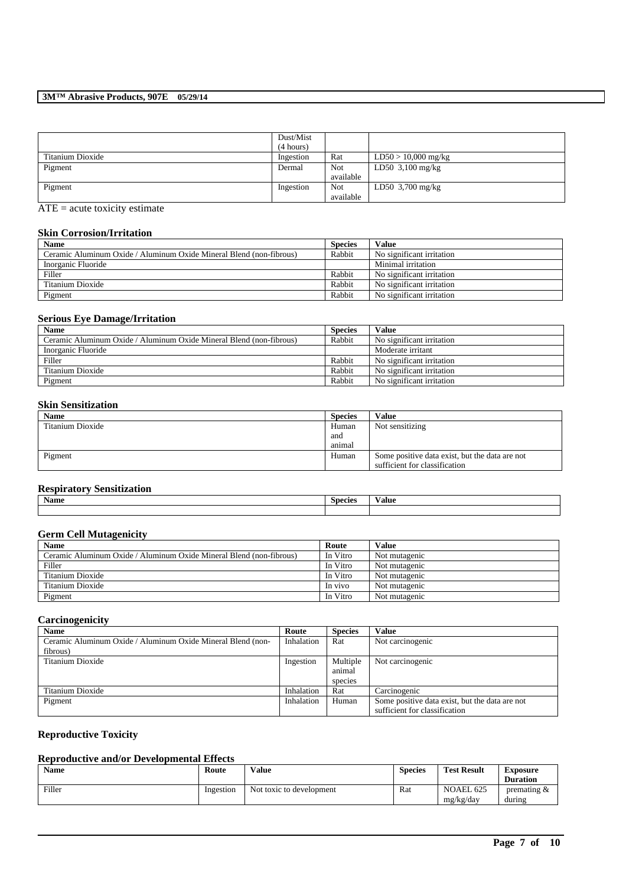|                  | Dust/Mist |           |                       |
|------------------|-----------|-----------|-----------------------|
|                  | (4 hours) |           |                       |
| Titanium Dioxide | Ingestion | Rat       | $LD50 > 10,000$ mg/kg |
| Pigment          | Dermal    | Not       | LD50 $3,100$ mg/kg    |
|                  |           | available |                       |
| Pigment          | Ingestion | Not       | LD50 $3,700$ mg/kg    |
|                  |           | available |                       |

ATE = acute toxicity estimate

### **Skin Corrosion/Irritation**

| <b>Name</b>                                                         | <b>Species</b> | Value                     |
|---------------------------------------------------------------------|----------------|---------------------------|
| Ceramic Aluminum Oxide / Aluminum Oxide Mineral Blend (non-fibrous) | Rabbit         | No significant irritation |
| Inorganic Fluoride                                                  |                | Minimal irritation        |
| Filler                                                              | Rabbit         | No significant irritation |
| Titanium Dioxide                                                    | Rabbit         | No significant irritation |
| Pigment                                                             | Rabbit         | No significant irritation |

# **Serious Eye Damage/Irritation**

| <b>Name</b>                                                         | <b>Species</b> | Value                     |
|---------------------------------------------------------------------|----------------|---------------------------|
| Ceramic Aluminum Oxide / Aluminum Oxide Mineral Blend (non-fibrous) | Rabbit         | No significant irritation |
| Inorganic Fluoride                                                  |                | Moderate irritant         |
| Filler                                                              | Rabbit         | No significant irritation |
| Titanium Dioxide                                                    | Rabbit         | No significant irritation |
| Pigment                                                             | Rabbit         | No significant irritation |

### **Skin Sensitization**

| <b>Name</b>      | <b>Species</b> | <b>Value</b>                                   |
|------------------|----------------|------------------------------------------------|
| Titanium Dioxide | Human          | Not sensitizing                                |
|                  | and            |                                                |
|                  | animal         |                                                |
| Pigment          | Human          | Some positive data exist, but the data are not |
|                  |                | sufficient for classification                  |

# **Respiratory Sensitization**

| -----------           |         |       |
|-----------------------|---------|-------|
| $\rightarrow$<br>Name | Species | ∨alue |
|                       |         |       |

# **Germ Cell Mutagenicity**

| <b>Name</b>                                                         | Route    | <b>Value</b>  |
|---------------------------------------------------------------------|----------|---------------|
| Ceramic Aluminum Oxide / Aluminum Oxide Mineral Blend (non-fibrous) | In Vitro | Not mutagenic |
| Filler                                                              | In Vitro | Not mutagenic |
| Titanium Dioxide                                                    | In Vitro | Not mutagenic |
| Titanium Dioxide                                                    | In vivo  | Not mutagenic |
| Pigment                                                             | In Vitro | Not mutagenic |

# **Carcinogenicity**

| <b>Name</b>                                                 | Route      | <b>Species</b> | Value                                          |
|-------------------------------------------------------------|------------|----------------|------------------------------------------------|
| Ceramic Aluminum Oxide / Aluminum Oxide Mineral Blend (non- | Inhalation | Rat            | Not carcinogenic                               |
| fibrous)                                                    |            |                |                                                |
| Titanium Dioxide                                            | Ingestion  | Multiple       | Not carcinogenic                               |
|                                                             |            | animal         |                                                |
|                                                             |            | species        |                                                |
| Titanium Dioxide                                            | Inhalation | Rat            | Carcinogenic                                   |
| Pigment                                                     | Inhalation | Human          | Some positive data exist, but the data are not |
|                                                             |            |                | sufficient for classification                  |

# **Reproductive Toxicity**

# **Reproductive and/or Developmental Effects**

| Name   | Route     | Value                    | <b>Species</b> | <b>Test Result</b>     | Exposure<br><b>Duration</b> |
|--------|-----------|--------------------------|----------------|------------------------|-----------------------------|
| Filler | Ingestion | Not toxic to development | Rat            | NOAEL 625<br>mg/kg/day | premating $\&$<br>during    |

\_\_\_\_\_\_\_\_\_\_\_\_\_\_\_\_\_\_\_\_\_\_\_\_\_\_\_\_\_\_\_\_\_\_\_\_\_\_\_\_\_\_\_\_\_\_\_\_\_\_\_\_\_\_\_\_\_\_\_\_\_\_\_\_\_\_\_\_\_\_\_\_\_\_\_\_\_\_\_\_\_\_\_\_\_\_\_\_\_\_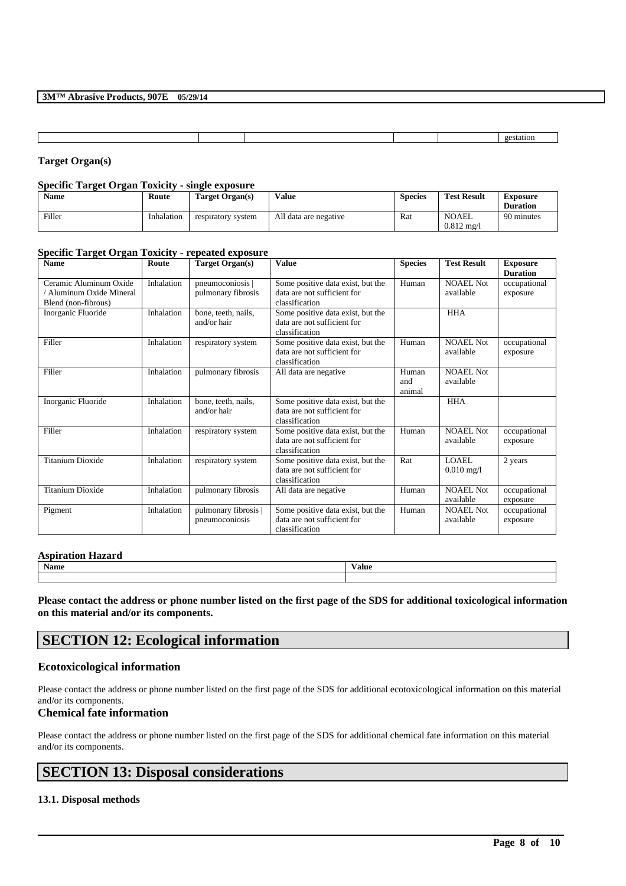**Target Organ(s)**

### **Specific Target Organ Toxicity - single exposure**

| <b>Name</b> | Route      | Target Organ(s)    | Value                 | <b>Species</b> | <b>Test Result</b>                    | <b>Exposure</b><br><b>Duration</b> |
|-------------|------------|--------------------|-----------------------|----------------|---------------------------------------|------------------------------------|
| Filler      | Inhalation | respiratory system | All data are negative | Rat            | <b>NOAEL</b><br>$0.812 \text{ m}$ g/l | 90 minutes                         |

### **Specific Target Organ Toxicity - repeated exposure**

| <b>Name</b>                                                               | Route      | <b>Target Organ(s)</b>                 | <b>Value</b>                                                                       | <b>Species</b>         | <b>Test Result</b>            | <b>Exposure</b><br><b>Duration</b> |
|---------------------------------------------------------------------------|------------|----------------------------------------|------------------------------------------------------------------------------------|------------------------|-------------------------------|------------------------------------|
| Ceramic Aluminum Oxide<br>/ Aluminum Oxide Mineral<br>Blend (non-fibrous) | Inhalation | pneumoconiosis  <br>pulmonary fibrosis | Some positive data exist, but the<br>data are not sufficient for<br>classification | Human                  | <b>NOAEL Not</b><br>available | occupational<br>exposure           |
| Inorganic Fluoride                                                        | Inhalation | bone, teeth, nails,<br>and/or hair     | Some positive data exist, but the<br>data are not sufficient for<br>classification |                        | <b>HHA</b>                    |                                    |
| Filler                                                                    | Inhalation | respiratory system                     | Some positive data exist, but the<br>data are not sufficient for<br>classification | Human                  | NOAEL Not<br>available        | occupational<br>exposure           |
| Filler                                                                    | Inhalation | pulmonary fibrosis                     | All data are negative                                                              | Human<br>and<br>animal | NOAEL Not<br>available        |                                    |
| Inorganic Fluoride                                                        | Inhalation | bone, teeth, nails,<br>and/or hair     | Some positive data exist, but the<br>data are not sufficient for<br>classification |                        | <b>HHA</b>                    |                                    |
| Filler                                                                    | Inhalation | respiratory system                     | Some positive data exist, but the<br>data are not sufficient for<br>classification | Human                  | <b>NOAEL Not</b><br>available | occupational<br>exposure           |
| <b>Titanium Dioxide</b>                                                   | Inhalation | respiratory system                     | Some positive data exist, but the<br>data are not sufficient for<br>classification | Rat                    | <b>LOAEL</b><br>$0.010$ mg/l  | 2 years                            |
| <b>Titanium Dioxide</b>                                                   | Inhalation | pulmonary fibrosis                     | All data are negative                                                              | Human                  | <b>NOAEL Not</b><br>available | occupational<br>exposure           |
| Pigment                                                                   | Inhalation | pulmonary fibrosis  <br>pneumoconiosis | Some positive data exist, but the<br>data are not sufficient for<br>classification | Human                  | <b>NOAEL Not</b><br>available | occupational<br>exposure           |

#### **Aspiration Hazard**

| <b>Name</b> | $-$<br>Value |
|-------------|--------------|
|             |              |

**Please contact the address or phone number listed on the first page of the SDS for additional toxicological information on this material and/or its components.**

# **SECTION 12: Ecological information**

### **Ecotoxicological information**

Please contact the address or phone number listed on the first page of the SDS for additional ecotoxicological information on this material and/or its components.

## **Chemical fate information**

Please contact the address or phone number listed on the first page of the SDS for additional chemical fate information on this material and/or its components.

\_\_\_\_\_\_\_\_\_\_\_\_\_\_\_\_\_\_\_\_\_\_\_\_\_\_\_\_\_\_\_\_\_\_\_\_\_\_\_\_\_\_\_\_\_\_\_\_\_\_\_\_\_\_\_\_\_\_\_\_\_\_\_\_\_\_\_\_\_\_\_\_\_\_\_\_\_\_\_\_\_\_\_\_\_\_\_\_\_\_

# **SECTION 13: Disposal considerations**

### **13.1. Disposal methods**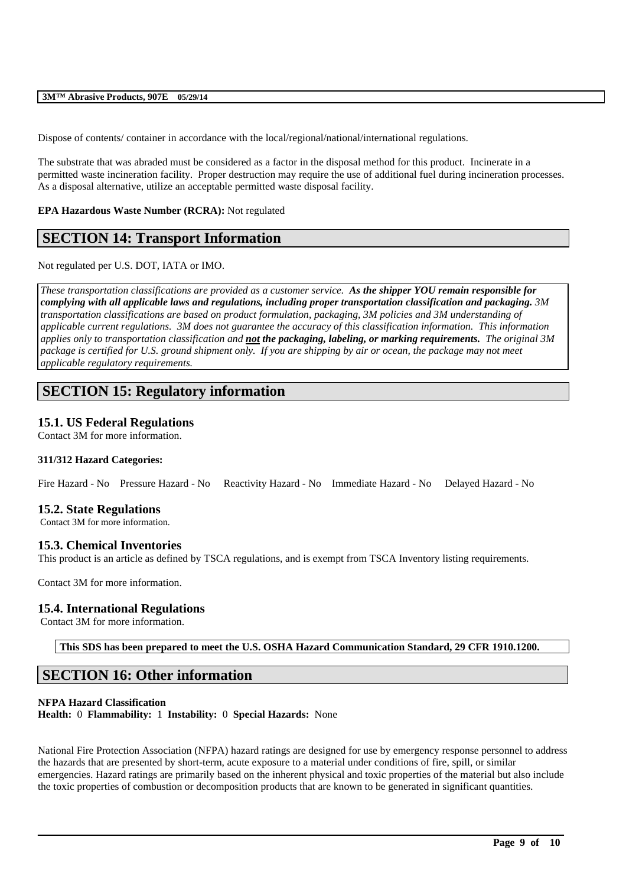Dispose of contents/ container in accordance with the local/regional/national/international regulations.

The substrate that was abraded must be considered as a factor in the disposal method for this product. Incinerate in a permitted waste incineration facility. Proper destruction may require the use of additional fuel during incineration processes. As a disposal alternative, utilize an acceptable permitted waste disposal facility.

## **EPA Hazardous Waste Number (RCRA):** Not regulated

# **SECTION 14: Transport Information**

Not regulated per U.S. DOT, IATA or IMO.

*These transportation classifications are provided as a customer service. As the shipper YOU remain responsible for complying with all applicable laws and regulations, including proper transportation classification and packaging. 3M transportation classifications are based on product formulation, packaging, 3M policies and 3M understanding of applicable current regulations. 3M does not guarantee the accuracy of this classification information. This information applies only to transportation classification and not the packaging, labeling, or marking requirements. The original 3M package is certified for U.S. ground shipment only. If you are shipping by air or ocean, the package may not meet applicable regulatory requirements.* 

# **SECTION 15: Regulatory information**

# **15.1. US Federal Regulations**

Contact 3M for more information.

## **311/312 Hazard Categories:**

Fire Hazard - No Pressure Hazard - No Reactivity Hazard - No Immediate Hazard - No Delayed Hazard - No

## **15.2. State Regulations**

Contact 3M for more information.

## **15.3. Chemical Inventories**

This product is an article as defined by TSCA regulations, and is exempt from TSCA Inventory listing requirements.

Contact 3M for more information.

## **15.4. International Regulations**

Contact 3M for more information.

**This SDS has been prepared to meet the U.S. OSHA Hazard Communication Standard, 29 CFR 1910.1200.**

# **SECTION 16: Other information**

### **NFPA Hazard Classification**

**Health:** 0 **Flammability:** 1 **Instability:** 0 **Special Hazards:** None

National Fire Protection Association (NFPA) hazard ratings are designed for use by emergency response personnel to address the hazards that are presented by short-term, acute exposure to a material under conditions of fire, spill, or similar emergencies. Hazard ratings are primarily based on the inherent physical and toxic properties of the material but also include the toxic properties of combustion or decomposition products that are known to be generated in significant quantities.

\_\_\_\_\_\_\_\_\_\_\_\_\_\_\_\_\_\_\_\_\_\_\_\_\_\_\_\_\_\_\_\_\_\_\_\_\_\_\_\_\_\_\_\_\_\_\_\_\_\_\_\_\_\_\_\_\_\_\_\_\_\_\_\_\_\_\_\_\_\_\_\_\_\_\_\_\_\_\_\_\_\_\_\_\_\_\_\_\_\_